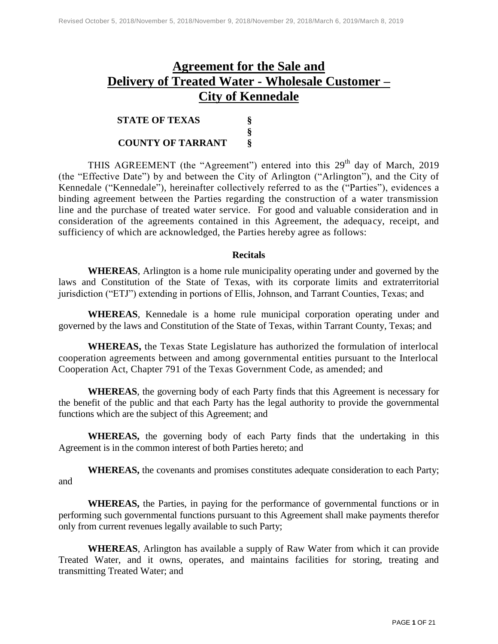# **Agreement for the Sale and Delivery of Treated Water - Wholesale Customer – City of Kennedale**

| <b>STATE OF TEXAS</b>    |   |
|--------------------------|---|
|                          |   |
| <b>COUNTY OF TARRANT</b> | ö |

THIS AGREEMENT (the "Agreement") entered into this  $29<sup>th</sup>$  day of March, 2019 (the "Effective Date") by and between the City of Arlington ("Arlington"), and the City of Kennedale ("Kennedale"), hereinafter collectively referred to as the ("Parties"), evidences a binding agreement between the Parties regarding the construction of a water transmission line and the purchase of treated water service. For good and valuable consideration and in consideration of the agreements contained in this Agreement, the adequacy, receipt, and sufficiency of which are acknowledged, the Parties hereby agree as follows:

#### **Recitals**

**WHEREAS**, Arlington is a home rule municipality operating under and governed by the laws and Constitution of the State of Texas, with its corporate limits and extraterritorial jurisdiction ("ETJ") extending in portions of Ellis, Johnson, and Tarrant Counties, Texas; and

**WHEREAS**, Kennedale is a home rule municipal corporation operating under and governed by the laws and Constitution of the State of Texas, within Tarrant County, Texas; and

**WHEREAS,** the Texas State Legislature has authorized the formulation of interlocal cooperation agreements between and among governmental entities pursuant to the Interlocal Cooperation Act, Chapter 791 of the Texas Government Code, as amended; and

**WHEREAS**, the governing body of each Party finds that this Agreement is necessary for the benefit of the public and that each Party has the legal authority to provide the governmental functions which are the subject of this Agreement; and

**WHEREAS,** the governing body of each Party finds that the undertaking in this Agreement is in the common interest of both Parties hereto; and

**WHEREAS,** the covenants and promises constitutes adequate consideration to each Party; and

**WHEREAS,** the Parties, in paying for the performance of governmental functions or in performing such governmental functions pursuant to this Agreement shall make payments therefor only from current revenues legally available to such Party;

**WHEREAS**, Arlington has available a supply of Raw Water from which it can provide Treated Water, and it owns, operates, and maintains facilities for storing, treating and transmitting Treated Water; and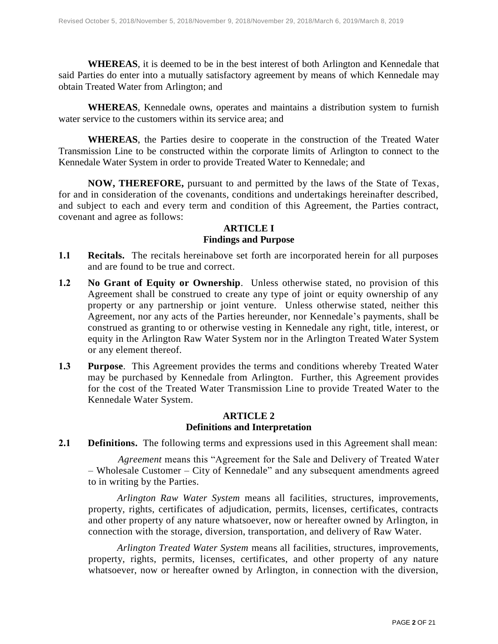**WHEREAS**, it is deemed to be in the best interest of both Arlington and Kennedale that said Parties do enter into a mutually satisfactory agreement by means of which Kennedale may obtain Treated Water from Arlington; and

**WHEREAS**, Kennedale owns, operates and maintains a distribution system to furnish water service to the customers within its service area; and

**WHEREAS**, the Parties desire to cooperate in the construction of the Treated Water Transmission Line to be constructed within the corporate limits of Arlington to connect to the Kennedale Water System in order to provide Treated Water to Kennedale; and

**NOW, THEREFORE,** pursuant to and permitted by the laws of the State of Texas, for and in consideration of the covenants, conditions and undertakings hereinafter described, and subject to each and every term and condition of this Agreement, the Parties contract, covenant and agree as follows:

#### **ARTICLE I Findings and Purpose**

- **1.1 Recitals.** The recitals hereinabove set forth are incorporated herein for all purposes and are found to be true and correct.
- **1.2 No Grant of Equity or Ownership**. Unless otherwise stated, no provision of this Agreement shall be construed to create any type of joint or equity ownership of any property or any partnership or joint venture. Unless otherwise stated, neither this Agreement, nor any acts of the Parties hereunder, nor Kennedale's payments, shall be construed as granting to or otherwise vesting in Kennedale any right, title, interest, or equity in the Arlington Raw Water System nor in the Arlington Treated Water System or any element thereof.
- **1.3 Purpose**. This Agreement provides the terms and conditions whereby Treated Water may be purchased by Kennedale from Arlington. Further, this Agreement provides for the cost of the Treated Water Transmission Line to provide Treated Water to the Kennedale Water System.

#### **ARTICLE 2 Definitions and Interpretation**

**2.1 Definitions.** The following terms and expressions used in this Agreement shall mean:

*Agreement* means this "Agreement for the Sale and Delivery of Treated Water – Wholesale Customer – City of Kennedale" and any subsequent amendments agreed to in writing by the Parties.

*Arlington Raw Water System* means all facilities, structures, improvements, property, rights, certificates of adjudication, permits, licenses, certificates, contracts and other property of any nature whatsoever, now or hereafter owned by Arlington, in connection with the storage, diversion, transportation, and delivery of Raw Water.

*Arlington Treated Water System* means all facilities, structures, improvements, property, rights, permits, licenses, certificates, and other property of any nature whatsoever, now or hereafter owned by Arlington, in connection with the diversion,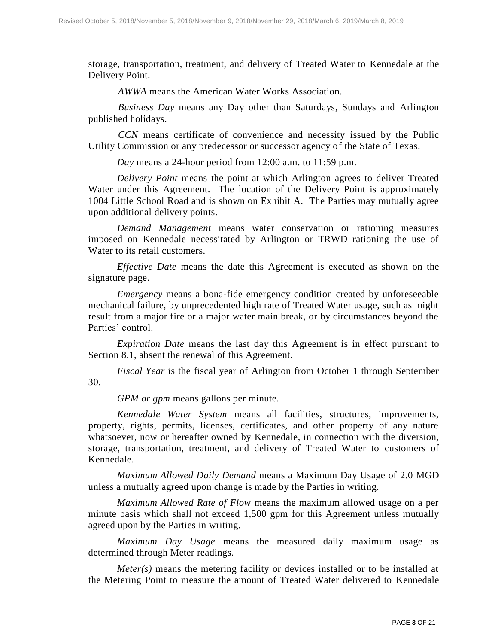storage, transportation, treatment, and delivery of Treated Water to Kennedale at the Delivery Point.

*AWWA* means the American Water Works Association.

*Business Day* means any Day other than Saturdays, Sundays and Arlington published holidays.

*CCN* means certificate of convenience and necessity issued by the Public Utility Commission or any predecessor or successor agency of the State of Texas.

*Day* means a 24-hour period from 12:00 a.m. to 11:59 p.m.

*Delivery Point* means the point at which Arlington agrees to deliver Treated Water under this Agreement. The location of the Delivery Point is approximately 1004 Little School Road and is shown on Exhibit A. The Parties may mutually agree upon additional delivery points.

*Demand Management* means water conservation or rationing measures imposed on Kennedale necessitated by Arlington or TRWD rationing the use of Water to its retail customers.

*Effective Date* means the date this Agreement is executed as shown on the signature page.

*Emergency* means a bona-fide emergency condition created by unforeseeable mechanical failure, by unprecedented high rate of Treated Water usage, such as might result from a major fire or a major water main break, or by circumstances beyond the Parties' control.

*Expiration Date* means the last day this Agreement is in effect pursuant to Section 8.1, absent the renewal of this Agreement.

*Fiscal Year* is the fiscal year of Arlington from October 1 through September 30.

*GPM or gpm* means gallons per minute.

*Kennedale Water System* means all facilities, structures, improvements, property, rights, permits, licenses, certificates, and other property of any nature whatsoever, now or hereafter owned by Kennedale, in connection with the diversion, storage, transportation, treatment, and delivery of Treated Water to customers of Kennedale.

*Maximum Allowed Daily Demand* means a Maximum Day Usage of 2.0 MGD unless a mutually agreed upon change is made by the Parties in writing.

*Maximum Allowed Rate of Flow* means the maximum allowed usage on a per minute basis which shall not exceed 1,500 gpm for this Agreement unless mutually agreed upon by the Parties in writing.

*Maximum Day Usage* means the measured daily maximum usage as determined through Meter readings.

*Meter(s)* means the metering facility or devices installed or to be installed at the Metering Point to measure the amount of Treated Water delivered to Kennedale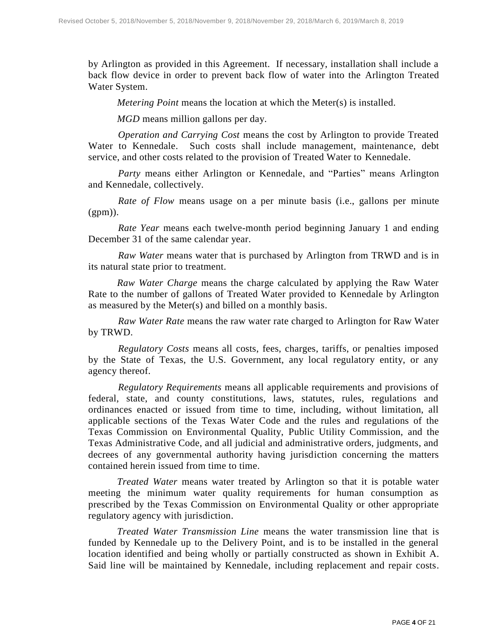by Arlington as provided in this Agreement. If necessary, installation shall include a back flow device in order to prevent back flow of water into the Arlington Treated Water System.

*Metering Point* means the location at which the Meter(s) is installed.

*MGD* means million gallons per day.

*Operation and Carrying Cost* means the cost by Arlington to provide Treated Water to Kennedale. Such costs shall include management, maintenance, debt service, and other costs related to the provision of Treated Water to Kennedale.

*Party* means either Arlington or Kennedale, and "Parties" means Arlington and Kennedale, collectively.

*Rate of Flow* means usage on a per minute basis (i.e., gallons per minute  $(gpm)).$ 

*Rate Year* means each twelve-month period beginning January 1 and ending December 31 of the same calendar year.

*Raw Water* means water that is purchased by Arlington from TRWD and is in its natural state prior to treatment.

*Raw Water Charge* means the charge calculated by applying the Raw Water Rate to the number of gallons of Treated Water provided to Kennedale by Arlington as measured by the Meter(s) and billed on a monthly basis.

*Raw Water Rate* means the raw water rate charged to Arlington for Raw Water by TRWD.

*Regulatory Costs* means all costs, fees, charges, tariffs, or penalties imposed by the State of Texas, the U.S. Government, any local regulatory entity, or any agency thereof.

*Regulatory Requirements* means all applicable requirements and provisions of federal, state, and county constitutions, laws, statutes, rules, regulations and ordinances enacted or issued from time to time, including, without limitation, all applicable sections of the Texas Water Code and the rules and regulations of the Texas Commission on Environmental Quality, Public Utility Commission, and the Texas Administrative Code, and all judicial and administrative orders, judgments, and decrees of any governmental authority having jurisdiction concerning the matters contained herein issued from time to time.

*Treated Water* means water treated by Arlington so that it is potable water meeting the minimum water quality requirements for human consumption as prescribed by the Texas Commission on Environmental Quality or other appropriate regulatory agency with jurisdiction.

*Treated Water Transmission Line* means the water transmission line that is funded by Kennedale up to the Delivery Point, and is to be installed in the general location identified and being wholly or partially constructed as shown in Exhibit A. Said line will be maintained by Kennedale, including replacement and repair costs.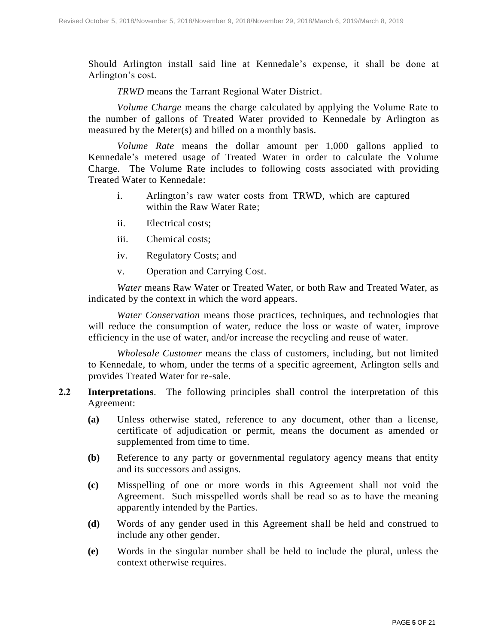Should Arlington install said line at Kennedale's expense, it shall be done at Arlington's cost.

*TRWD* means the Tarrant Regional Water District.

*Volume Charge* means the charge calculated by applying the Volume Rate to the number of gallons of Treated Water provided to Kennedale by Arlington as measured by the Meter(s) and billed on a monthly basis.

*Volume Rate* means the dollar amount per 1,000 gallons applied to Kennedale's metered usage of Treated Water in order to calculate the Volume Charge. The Volume Rate includes to following costs associated with providing Treated Water to Kennedale:

- i. Arlington's raw water costs from TRWD, which are captured within the Raw Water Rate;
- ii. Electrical costs;
- iii. Chemical costs;
- iv. Regulatory Costs; and
- v. Operation and Carrying Cost.

*Water* means Raw Water or Treated Water, or both Raw and Treated Water, as indicated by the context in which the word appears.

*Water Conservation* means those practices, techniques, and technologies that will reduce the consumption of water, reduce the loss or waste of water, improve efficiency in the use of water, and/or increase the recycling and reuse of water.

*Wholesale Customer* means the class of customers, including, but not limited to Kennedale, to whom, under the terms of a specific agreement, Arlington sells and provides Treated Water for re-sale.

- **2.2 Interpretations**. The following principles shall control the interpretation of this Agreement:
	- **(a)** Unless otherwise stated, reference to any document, other than a license, certificate of adjudication or permit, means the document as amended or supplemented from time to time.
	- **(b)** Reference to any party or governmental regulatory agency means that entity and its successors and assigns.
	- **(c)** Misspelling of one or more words in this Agreement shall not void the Agreement. Such misspelled words shall be read so as to have the meaning apparently intended by the Parties.
	- **(d)** Words of any gender used in this Agreement shall be held and construed to include any other gender.
	- **(e)** Words in the singular number shall be held to include the plural, unless the context otherwise requires.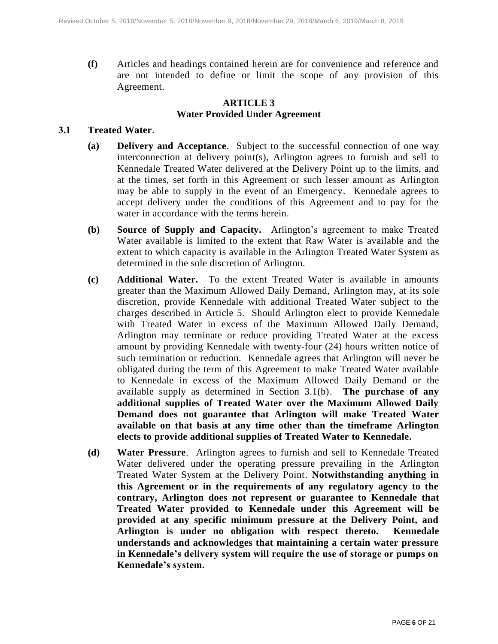**(f)** Articles and headings contained herein are for convenience and reference and are not intended to define or limit the scope of any provision of this Agreement.

# **ARTICLE 3 Water Provided Under Agreement**

#### **3.1 Treated Water**.

- **(a) Delivery and Acceptance**. Subject to the successful connection of one way interconnection at delivery point(s), Arlington agrees to furnish and sell to Kennedale Treated Water delivered at the Delivery Point up to the limits, and at the times, set forth in this Agreement or such lesser amount as Arlington may be able to supply in the event of an Emergency. Kennedale agrees to accept delivery under the conditions of this Agreement and to pay for the water in accordance with the terms herein.
- **(b) Source of Supply and Capacity.** Arlington's agreement to make Treated Water available is limited to the extent that Raw Water is available and the extent to which capacity is available in the Arlington Treated Water System as determined in the sole discretion of Arlington.
- **(c) Additional Water.** To the extent Treated Water is available in amounts greater than the Maximum Allowed Daily Demand, Arlington may, at its sole discretion, provide Kennedale with additional Treated Water subject to the charges described in Article 5. Should Arlington elect to provide Kennedale with Treated Water in excess of the Maximum Allowed Daily Demand, Arlington may terminate or reduce providing Treated Water at the excess amount by providing Kennedale with twenty-four (24) hours written notice of such termination or reduction. Kennedale agrees that Arlington will never be obligated during the term of this Agreement to make Treated Water available to Kennedale in excess of the Maximum Allowed Daily Demand or the available supply as determined in Section 3.1(b). **The purchase of any additional supplies of Treated Water over the Maximum Allowed Daily Demand does not guarantee that Arlington will make Treated Water available on that basis at any time other than the timeframe Arlington elects to provide additional supplies of Treated Water to Kennedale.**
- **(d) Water Pressure**. Arlington agrees to furnish and sell to Kennedale Treated Water delivered under the operating pressure prevailing in the Arlington Treated Water System at the Delivery Point. **Notwithstanding anything in this Agreement or in the requirements of any regulatory agency to the contrary, Arlington does not represent or guarantee to Kennedale that Treated Water provided to Kennedale under this Agreement will be provided at any specific minimum pressure at the Delivery Point, and Arlington is under no obligation with respect thereto. Kennedale understands and acknowledges that maintaining a certain water pressure in Kennedale's delivery system will require the use of storage or pumps on Kennedale's system.**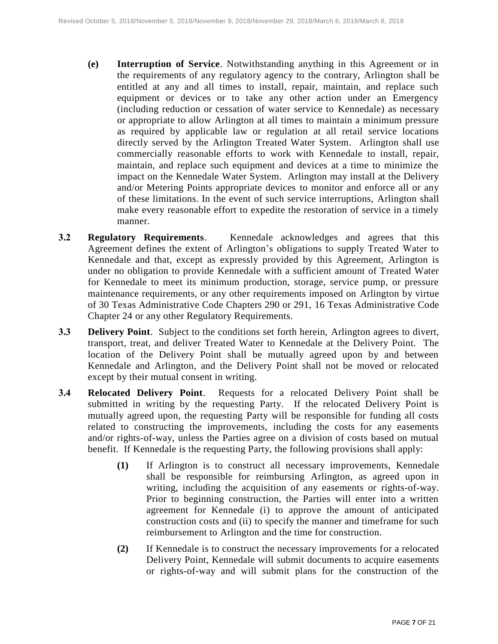- **(e) Interruption of Service**. Notwithstanding anything in this Agreement or in the requirements of any regulatory agency to the contrary, Arlington shall be entitled at any and all times to install, repair, maintain, and replace such equipment or devices or to take any other action under an Emergency (including reduction or cessation of water service to Kennedale) as necessary or appropriate to allow Arlington at all times to maintain a minimum pressure as required by applicable law or regulation at all retail service locations directly served by the Arlington Treated Water System. Arlington shall use commercially reasonable efforts to work with Kennedale to install, repair, maintain, and replace such equipment and devices at a time to minimize the impact on the Kennedale Water System. Arlington may install at the Delivery and/or Metering Points appropriate devices to monitor and enforce all or any of these limitations. In the event of such service interruptions, Arlington shall make every reasonable effort to expedite the restoration of service in a timely manner.
- **3.2 Regulatory Requirements**. Kennedale acknowledges and agrees that this Agreement defines the extent of Arlington's obligations to supply Treated Water to Kennedale and that, except as expressly provided by this Agreement, Arlington is under no obligation to provide Kennedale with a sufficient amount of Treated Water for Kennedale to meet its minimum production, storage, service pump, or pressure maintenance requirements, or any other requirements imposed on Arlington by virtue of 30 Texas Administrative Code Chapters 290 or 291, 16 Texas Administrative Code Chapter 24 or any other Regulatory Requirements.
- **3.3 Delivery Point**. Subject to the conditions set forth herein, Arlington agrees to divert, transport, treat, and deliver Treated Water to Kennedale at the Delivery Point. The location of the Delivery Point shall be mutually agreed upon by and between Kennedale and Arlington, and the Delivery Point shall not be moved or relocated except by their mutual consent in writing.
- <span id="page-6-0"></span>**3.4 Relocated Delivery Point**. Requests for a relocated Delivery Point shall be submitted in writing by the requesting Party. If the relocated Delivery Point is mutually agreed upon, the requesting Party will be responsible for funding all costs related to constructing the improvements, including the costs for any easements and/or rights-of-way, unless the Parties agree on a division of costs based on mutual benefit. If Kennedale is the requesting Party, the following provisions shall apply:
	- **(1)** If Arlington is to construct all necessary improvements, Kennedale shall be responsible for reimbursing Arlington, as agreed upon in writing, including the acquisition of any easements or rights-of-way. Prior to beginning construction, the Parties will enter into a written agreement for Kennedale (i) to approve the amount of anticipated construction costs and (ii) to specify the manner and timeframe for such reimbursement to Arlington and the time for construction.
	- **(2)** If Kennedale is to construct the necessary improvements for a relocated Delivery Point, Kennedale will submit documents to acquire easements or rights-of-way and will submit plans for the construction of the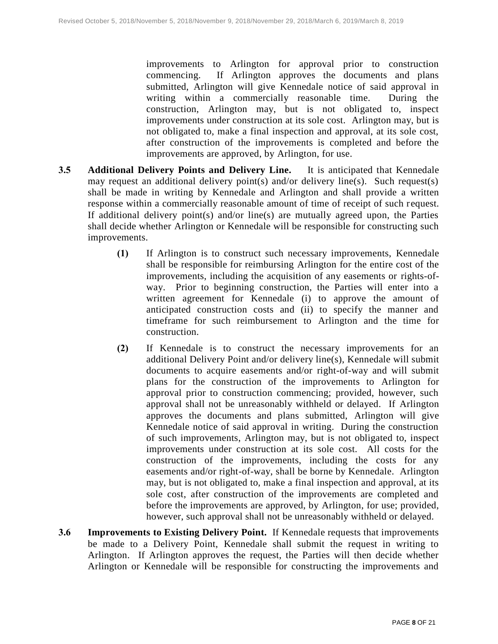improvements to Arlington for approval prior to construction commencing. If Arlington approves the documents and plans submitted, Arlington will give Kennedale notice of said approval in writing within a commercially reasonable time. During the construction, Arlington may, but is not obligated to, inspect improvements under construction at its sole cost. Arlington may, but is not obligated to, make a final inspection and approval, at its sole cost, after construction of the improvements is completed and before the improvements are approved, by Arlington, for use.

- **3.5 Additional Delivery Points and Delivery Line.** It is anticipated that Kennedale may request an additional delivery point(s) and/or delivery line(s). Such request(s) shall be made in writing by Kennedale and Arlington and shall provide a written response within a commercially reasonable amount of time of receipt of such request. If additional delivery point(s) and/or line(s) are mutually agreed upon, the Parties shall decide whether Arlington or Kennedale will be responsible for constructing such improvements.
	- **(1)** If Arlington is to construct such necessary improvements, Kennedale shall be responsible for reimbursing Arlington for the entire cost of the improvements, including the acquisition of any easements or rights-ofway. Prior to beginning construction, the Parties will enter into a written agreement for Kennedale (i) to approve the amount of anticipated construction costs and (ii) to specify the manner and timeframe for such reimbursement to Arlington and the time for construction.
	- **(2)** If Kennedale is to construct the necessary improvements for an additional Delivery Point and/or delivery line(s), Kennedale will submit documents to acquire easements and/or right-of-way and will submit plans for the construction of the improvements to Arlington for approval prior to construction commencing; provided, however, such approval shall not be unreasonably withheld or delayed. If Arlington approves the documents and plans submitted, Arlington will give Kennedale notice of said approval in writing. During the construction of such improvements, Arlington may, but is not obligated to, inspect improvements under construction at its sole cost. All costs for the construction of the improvements, including the costs for any easements and/or right-of-way, shall be borne by Kennedale. Arlington may, but is not obligated to, make a final inspection and approval, at its sole cost, after construction of the improvements are completed and before the improvements are approved, by Arlington, for use; provided, however, such approval shall not be unreasonably withheld or delayed.
- **3.6 Improvements to Existing Delivery Point.** If Kennedale requests that improvements be made to a Delivery Point, Kennedale shall submit the request in writing to Arlington. If Arlington approves the request, the Parties will then decide whether Arlington or Kennedale will be responsible for constructing the improvements and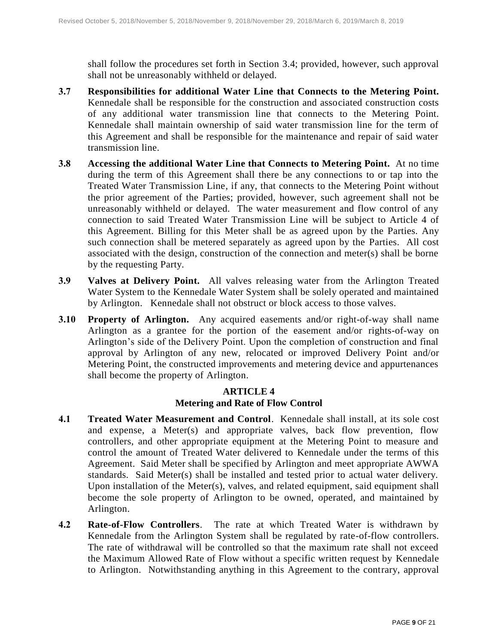shall follow the procedures set forth in Section [3.4;](#page-6-0) provided, however, such approval shall not be unreasonably withheld or delayed.

- **3.7 Responsibilities for additional Water Line that Connects to the Metering Point.**  Kennedale shall be responsible for the construction and associated construction costs of any additional water transmission line that connects to the Metering Point. Kennedale shall maintain ownership of said water transmission line for the term of this Agreement and shall be responsible for the maintenance and repair of said water transmission line.
- **3.8 Accessing the additional Water Line that Connects to Metering Point.** At no time during the term of this Agreement shall there be any connections to or tap into the Treated Water Transmission Line, if any, that connects to the Metering Point without the prior agreement of the Parties; provided, however, such agreement shall not be unreasonably withheld or delayed. The water measurement and flow control of any connection to said Treated Water Transmission Line will be subject to Article 4 of this Agreement. Billing for this Meter shall be as agreed upon by the Parties. Any such connection shall be metered separately as agreed upon by the Parties. All cost associated with the design, construction of the connection and meter(s) shall be borne by the requesting Party.
- **3.9 Valves at Delivery Point.** All valves releasing water from the Arlington Treated Water System to the Kennedale Water System shall be solely operated and maintained by Arlington. Kennedale shall not obstruct or block access to those valves.
- **3.10 Property of Arlington.** Any acquired easements and/or right-of-way shall name Arlington as a grantee for the portion of the easement and/or rights-of-way on Arlington's side of the Delivery Point. Upon the completion of construction and final approval by Arlington of any new, relocated or improved Delivery Point and/or Metering Point, the constructed improvements and metering device and appurtenances shall become the property of Arlington.

# **ARTICLE 4 Metering and Rate of Flow Control**

- **4.1 Treated Water Measurement and Control**. Kennedale shall install, at its sole cost and expense, a Meter(s) and appropriate valves, back flow prevention, flow controllers, and other appropriate equipment at the Metering Point to measure and control the amount of Treated Water delivered to Kennedale under the terms of this Agreement. Said Meter shall be specified by Arlington and meet appropriate AWWA standards. Said Meter(s) shall be installed and tested prior to actual water delivery. Upon installation of the Meter(s), valves, and related equipment, said equipment shall become the sole property of Arlington to be owned, operated, and maintained by Arlington.
- **4.2 Rate-of-Flow Controllers**. The rate at which Treated Water is withdrawn by Kennedale from the Arlington System shall be regulated by rate-of-flow controllers. The rate of withdrawal will be controlled so that the maximum rate shall not exceed the Maximum Allowed Rate of Flow without a specific written request by Kennedale to Arlington. Notwithstanding anything in this Agreement to the contrary, approval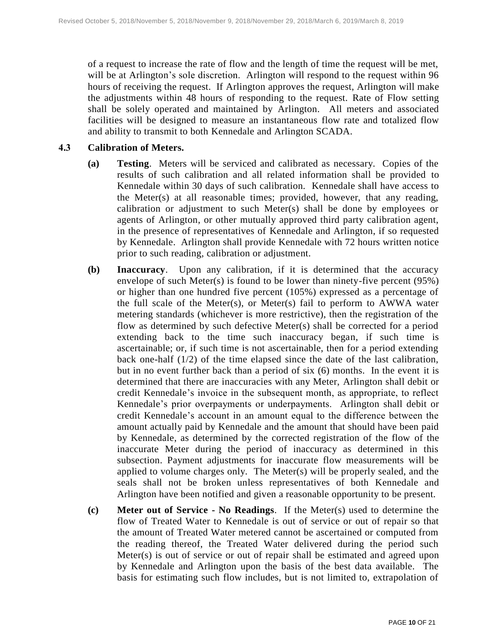of a request to increase the rate of flow and the length of time the request will be met, will be at Arlington's sole discretion. Arlington will respond to the request within 96 hours of receiving the request. If Arlington approves the request, Arlington will make the adjustments within 48 hours of responding to the request. Rate of Flow setting shall be solely operated and maintained by Arlington. All meters and associated facilities will be designed to measure an instantaneous flow rate and totalized flow and ability to transmit to both Kennedale and Arlington SCADA.

#### **4.3 Calibration of Meters.**

- **(a) Testing**. Meters will be serviced and calibrated as necessary. Copies of the results of such calibration and all related information shall be provided to Kennedale within 30 days of such calibration. Kennedale shall have access to the Meter(s) at all reasonable times; provided, however, that any reading, calibration or adjustment to such Meter(s) shall be done by employees or agents of Arlington, or other mutually approved third party calibration agent, in the presence of representatives of Kennedale and Arlington, if so requested by Kennedale. Arlington shall provide Kennedale with 72 hours written notice prior to such reading, calibration or adjustment.
- **(b) Inaccuracy**. Upon any calibration, if it is determined that the accuracy envelope of such Meter(s) is found to be lower than ninety-five percent (95%) or higher than one hundred five percent (105%) expressed as a percentage of the full scale of the Meter(s), or Meter(s) fail to perform to AWWA water metering standards (whichever is more restrictive), then the registration of the flow as determined by such defective Meter(s) shall be corrected for a period extending back to the time such inaccuracy began, if such time is ascertainable; or, if such time is not ascertainable, then for a period extending back one-half (1/2) of the time elapsed since the date of the last calibration, but in no event further back than a period of six (6) months. In the event it is determined that there are inaccuracies with any Meter, Arlington shall debit or credit Kennedale's invoice in the subsequent month, as appropriate, to reflect Kennedale's prior overpayments or underpayments. Arlington shall debit or credit Kennedale's account in an amount equal to the difference between the amount actually paid by Kennedale and the amount that should have been paid by Kennedale, as determined by the corrected registration of the flow of the inaccurate Meter during the period of inaccuracy as determined in this subsection. Payment adjustments for inaccurate flow measurements will be applied to volume charges only. The Meter(s) will be properly sealed, and the seals shall not be broken unless representatives of both Kennedale and Arlington have been notified and given a reasonable opportunity to be present.
- **(c) Meter out of Service - No Readings**. If the Meter(s) used to determine the flow of Treated Water to Kennedale is out of service or out of repair so that the amount of Treated Water metered cannot be ascertained or computed from the reading thereof, the Treated Water delivered during the period such Meter(s) is out of service or out of repair shall be estimated and agreed upon by Kennedale and Arlington upon the basis of the best data available. The basis for estimating such flow includes, but is not limited to, extrapolation of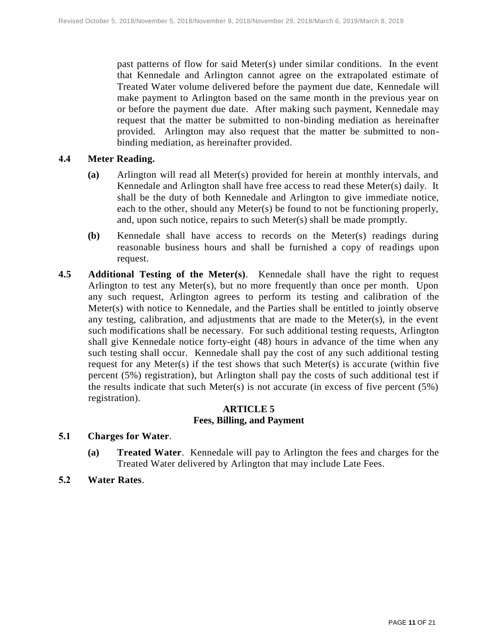past patterns of flow for said Meter(s) under similar conditions. In the event that Kennedale and Arlington cannot agree on the extrapolated estimate of Treated Water volume delivered before the payment due date, Kennedale will make payment to Arlington based on the same month in the previous year on or before the payment due date. After making such payment, Kennedale may request that the matter be submitted to non-binding mediation as hereinafter provided. Arlington may also request that the matter be submitted to nonbinding mediation, as hereinafter provided.

#### **4.4 Meter Reading.**

- **(a)** Arlington will read all Meter(s) provided for herein at monthly intervals, and Kennedale and Arlington shall have free access to read these Meter(s) daily. It shall be the duty of both Kennedale and Arlington to give immediate notice, each to the other, should any Meter(s) be found to not be functioning properly, and, upon such notice, repairs to such Meter(s) shall be made promptly.
- **(b)** Kennedale shall have access to records on the Meter(s) readings during reasonable business hours and shall be furnished a copy of readings upon request.
- **4.5 Additional Testing of the Meter(s)**. Kennedale shall have the right to request Arlington to test any Meter(s), but no more frequently than once per month. Upon any such request, Arlington agrees to perform its testing and calibration of the Meter(s) with notice to Kennedale, and the Parties shall be entitled to jointly observe any testing, calibration, and adjustments that are made to the Meter(s), in the event such modifications shall be necessary. For such additional testing requests, Arlington shall give Kennedale notice forty-eight (48) hours in advance of the time when any such testing shall occur. Kennedale shall pay the cost of any such additional testing request for any Meter(s) if the test shows that such Meter(s) is accurate (within five percent (5%) registration), but Arlington shall pay the costs of such additional test if the results indicate that such Meter(s) is not accurate (in excess of five percent  $(5%)$ registration).

#### **ARTICLE 5 Fees, Billing, and Payment**

#### **5.1 Charges for Water**.

- **(a) Treated Water**. Kennedale will pay to Arlington the fees and charges for the Treated Water delivered by Arlington that may include Late Fees.
- **5.2 Water Rates**.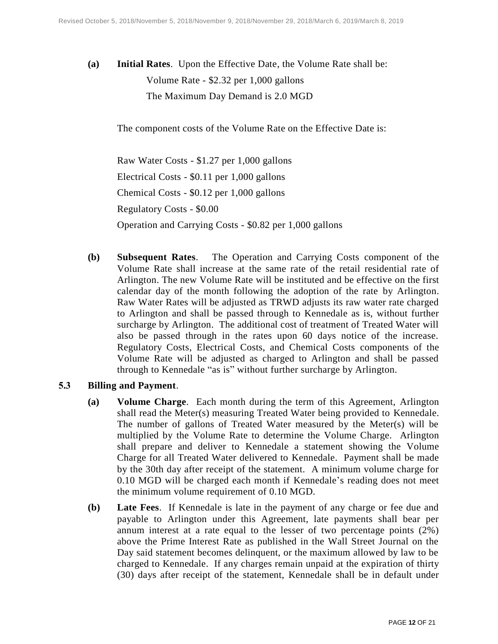**(a) Initial Rates**. Upon the Effective Date, the Volume Rate shall be: Volume Rate - \$2.32 per 1,000 gallons The Maximum Day Demand is 2.0 MGD

The component costs of the Volume Rate on the Effective Date is:

Raw Water Costs - \$1.27 per 1,000 gallons Electrical Costs - \$0.11 per 1,000 gallons Chemical Costs - \$0.12 per 1,000 gallons Regulatory Costs - \$0.00 Operation and Carrying Costs - \$0.82 per 1,000 gallons

**(b) Subsequent Rates**. The Operation and Carrying Costs component of the Volume Rate shall increase at the same rate of the retail residential rate of Arlington. The new Volume Rate will be instituted and be effective on the first calendar day of the month following the adoption of the rate by Arlington. Raw Water Rates will be adjusted as TRWD adjusts its raw water rate charged to Arlington and shall be passed through to Kennedale as is, without further surcharge by Arlington. The additional cost of treatment of Treated Water will also be passed through in the rates upon 60 days notice of the increase. Regulatory Costs, Electrical Costs, and Chemical Costs components of the Volume Rate will be adjusted as charged to Arlington and shall be passed through to Kennedale "as is" without further surcharge by Arlington.

#### **5.3 Billing and Payment**.

- **(a) Volume Charge**. Each month during the term of this Agreement, Arlington shall read the Meter(s) measuring Treated Water being provided to Kennedale. The number of gallons of Treated Water measured by the Meter(s) will be multiplied by the Volume Rate to determine the Volume Charge. Arlington shall prepare and deliver to Kennedale a statement showing the Volume Charge for all Treated Water delivered to Kennedale. Payment shall be made by the 30th day after receipt of the statement. A minimum volume charge for 0.10 MGD will be charged each month if Kennedale's reading does not meet the minimum volume requirement of 0.10 MGD.
- **(b) Late Fees**. If Kennedale is late in the payment of any charge or fee due and payable to Arlington under this Agreement, late payments shall bear per annum interest at a rate equal to the lesser of two percentage points (2%) above the Prime Interest Rate as published in the Wall Street Journal on the Day said statement becomes delinquent, or the maximum allowed by law to be charged to Kennedale. If any charges remain unpaid at the expiration of thirty (30) days after receipt of the statement, Kennedale shall be in default under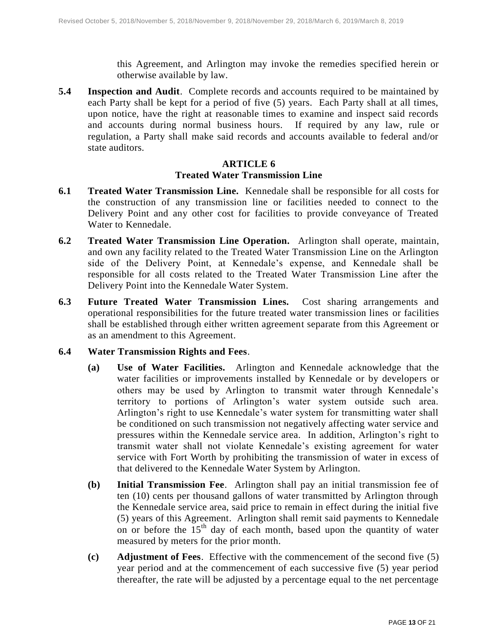this Agreement, and Arlington may invoke the remedies specified herein or otherwise available by law.

**5.4 Inspection and Audit**. Complete records and accounts required to be maintained by each Party shall be kept for a period of five (5) years. Each Party shall at all times, upon notice, have the right at reasonable times to examine and inspect said records and accounts during normal business hours. If required by any law, rule or regulation, a Party shall make said records and accounts available to federal and/or state auditors.

# **ARTICLE 6 Treated Water Transmission Line**

- **6.1 Treated Water Transmission Line.** Kennedale shall be responsible for all costs for the construction of any transmission line or facilities needed to connect to the Delivery Point and any other cost for facilities to provide conveyance of Treated Water to Kennedale.
- **6.2 Treated Water Transmission Line Operation.** Arlington shall operate, maintain, and own any facility related to the Treated Water Transmission Line on the Arlington side of the Delivery Point, at Kennedale's expense, and Kennedale shall be responsible for all costs related to the Treated Water Transmission Line after the Delivery Point into the Kennedale Water System.
- **6.3 Future Treated Water Transmission Lines.** Cost sharing arrangements and operational responsibilities for the future treated water transmission lines or facilities shall be established through either written agreement separate from this Agreement or as an amendment to this Agreement.

#### **6.4 Water Transmission Rights and Fees**.

- **(a) Use of Water Facilities.** Arlington and Kennedale acknowledge that the water facilities or improvements installed by Kennedale or by developers or others may be used by Arlington to transmit water through Kennedale's territory to portions of Arlington's water system outside such area. Arlington's right to use Kennedale's water system for transmitting water shall be conditioned on such transmission not negatively affecting water service and pressures within the Kennedale service area. In addition, Arlington's right to transmit water shall not violate Kennedale's existing agreement for water service with Fort Worth by prohibiting the transmission of water in excess of that delivered to the Kennedale Water System by Arlington.
- **(b) Initial Transmission Fee**. Arlington shall pay an initial transmission fee of ten (10) cents per thousand gallons of water transmitted by Arlington through the Kennedale service area, said price to remain in effect during the initial five (5) years of this Agreement. Arlington shall remit said payments to Kennedale on or before the  $15<sup>th</sup>$  day of each month, based upon the quantity of water measured by meters for the prior month.
- **(c) Adjustment of Fees**. Effective with the commencement of the second five (5) year period and at the commencement of each successive five (5) year period thereafter, the rate will be adjusted by a percentage equal to the net percentage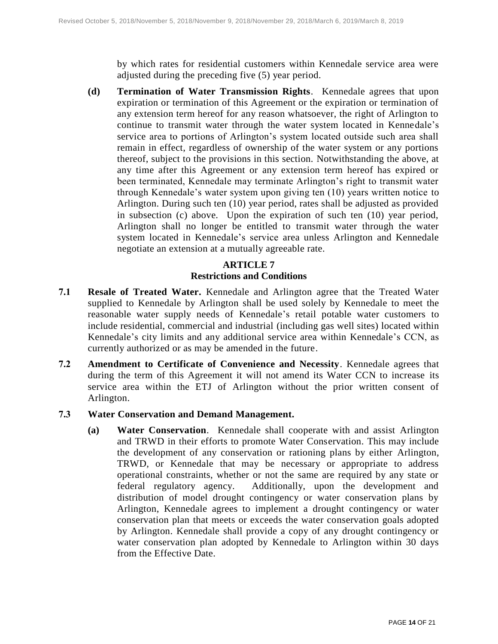by which rates for residential customers within Kennedale service area were adjusted during the preceding five (5) year period.

**(d) Termination of Water Transmission Rights**. Kennedale agrees that upon expiration or termination of this Agreement or the expiration or termination of any extension term hereof for any reason whatsoever, the right of Arlington to continue to transmit water through the water system located in Kennedale's service area to portions of Arlington's system located outside such area shall remain in effect, regardless of ownership of the water system or any portions thereof, subject to the provisions in this section. Notwithstanding the above, at any time after this Agreement or any extension term hereof has expired or been terminated, Kennedale may terminate Arlington's right to transmit water through Kennedale's water system upon giving ten (10) years written notice to Arlington. During such ten (10) year period, rates shall be adjusted as provided in subsection (c) above. Upon the expiration of such ten (10) year period, Arlington shall no longer be entitled to transmit water through the water system located in Kennedale's service area unless Arlington and Kennedale negotiate an extension at a mutually agreeable rate.

# **ARTICLE 7 Restrictions and Conditions**

- **7.1 Resale of Treated Water.** Kennedale and Arlington agree that the Treated Water supplied to Kennedale by Arlington shall be used solely by Kennedale to meet the reasonable water supply needs of Kennedale's retail potable water customers to include residential, commercial and industrial (including gas well sites) located within Kennedale's city limits and any additional service area within Kennedale's CCN, as currently authorized or as may be amended in the future.
- **7.2 Amendment to Certificate of Convenience and Necessity**. Kennedale agrees that during the term of this Agreement it will not amend its Water CCN to increase its service area within the ETJ of Arlington without the prior written consent of Arlington.
- **7.3 Water Conservation and Demand Management.**
	- **(a) Water Conservation**. Kennedale shall cooperate with and assist Arlington and TRWD in their efforts to promote Water Conservation. This may include the development of any conservation or rationing plans by either Arlington, TRWD, or Kennedale that may be necessary or appropriate to address operational constraints, whether or not the same are required by any state or federal regulatory agency. Additionally, upon the development and distribution of model drought contingency or water conservation plans by Arlington, Kennedale agrees to implement a drought contingency or water conservation plan that meets or exceeds the water conservation goals adopted by Arlington. Kennedale shall provide a copy of any drought contingency or water conservation plan adopted by Kennedale to Arlington within 30 days from the Effective Date.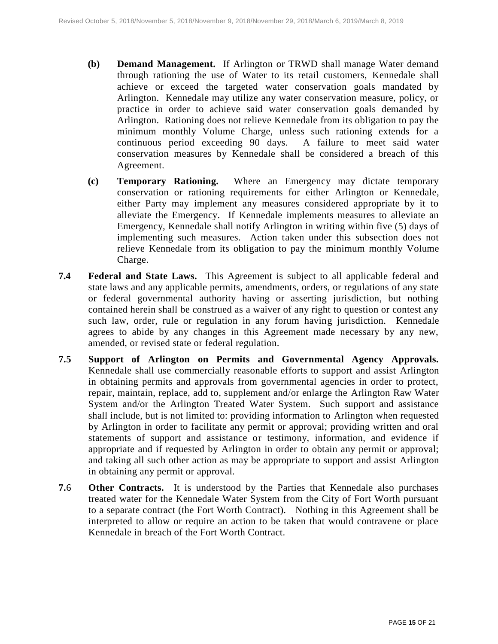- **(b) Demand Management.** If Arlington or TRWD shall manage Water demand through rationing the use of Water to its retail customers, Kennedale shall achieve or exceed the targeted water conservation goals mandated by Arlington. Kennedale may utilize any water conservation measure, policy, or practice in order to achieve said water conservation goals demanded by Arlington. Rationing does not relieve Kennedale from its obligation to pay the minimum monthly Volume Charge, unless such rationing extends for a continuous period exceeding 90 days. A failure to meet said water conservation measures by Kennedale shall be considered a breach of this Agreement.
- **(c) Temporary Rationing.** Where an Emergency may dictate temporary conservation or rationing requirements for either Arlington or Kennedale, either Party may implement any measures considered appropriate by it to alleviate the Emergency. If Kennedale implements measures to alleviate an Emergency, Kennedale shall notify Arlington in writing within five (5) days of implementing such measures. Action taken under this subsection does not relieve Kennedale from its obligation to pay the minimum monthly Volume Charge.
- **7.4 Federal and State Laws.** This Agreement is subject to all applicable federal and state laws and any applicable permits, amendments, orders, or regulations of any state or federal governmental authority having or asserting jurisdiction, but nothing contained herein shall be construed as a waiver of any right to question or contest any such law, order, rule or regulation in any forum having jurisdiction. Kennedale agrees to abide by any changes in this Agreement made necessary by any new, amended, or revised state or federal regulation.
- **7.5 Support of Arlington on Permits and Governmental Agency Approvals.** Kennedale shall use commercially reasonable efforts to support and assist Arlington in obtaining permits and approvals from governmental agencies in order to protect, repair, maintain, replace, add to, supplement and/or enlarge the Arlington Raw Water System and/or the Arlington Treated Water System. Such support and assistance shall include, but is not limited to: providing information to Arlington when requested by Arlington in order to facilitate any permit or approval; providing written and oral statements of support and assistance or testimony, information, and evidence if appropriate and if requested by Arlington in order to obtain any permit or approval; and taking all such other action as may be appropriate to support and assist Arlington in obtaining any permit or approval.
- **7.**6 **Other Contracts.** It is understood by the Parties that Kennedale also purchases treated water for the Kennedale Water System from the City of Fort Worth pursuant to a separate contract (the Fort Worth Contract). Nothing in this Agreement shall be interpreted to allow or require an action to be taken that would contravene or place Kennedale in breach of the Fort Worth Contract.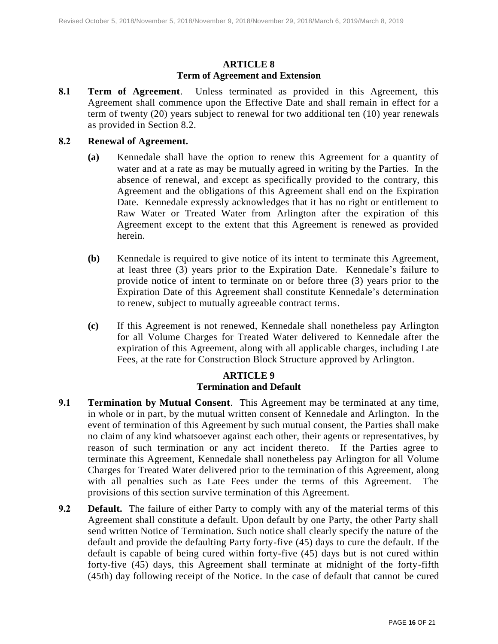# **ARTICLE 8 Term of Agreement and Extension**

**8.1 Term of Agreement**. Unless terminated as provided in this Agreement, this Agreement shall commence upon the Effective Date and shall remain in effect for a term of twenty (20) years subject to renewal for two additional ten (10) year renewals as provided in Section 8.2.

#### **8.2 Renewal of Agreement.**

- **(a)** Kennedale shall have the option to renew this Agreement for a quantity of water and at a rate as may be mutually agreed in writing by the Parties. In the absence of renewal, and except as specifically provided to the contrary, this Agreement and the obligations of this Agreement shall end on the Expiration Date. Kennedale expressly acknowledges that it has no right or entitlement to Raw Water or Treated Water from Arlington after the expiration of this Agreement except to the extent that this Agreement is renewed as provided herein.
- **(b)** Kennedale is required to give notice of its intent to terminate this Agreement, at least three (3) years prior to the Expiration Date. Kennedale's failure to provide notice of intent to terminate on or before three (3) years prior to the Expiration Date of this Agreement shall constitute Kennedale's determination to renew, subject to mutually agreeable contract terms.
- **(c)** If this Agreement is not renewed, Kennedale shall nonetheless pay Arlington for all Volume Charges for Treated Water delivered to Kennedale after the expiration of this Agreement, along with all applicable charges, including Late Fees, at the rate for Construction Block Structure approved by Arlington.

# **ARTICLE 9 Termination and Default**

- **9.1 Termination by Mutual Consent**. This Agreement may be terminated at any time, in whole or in part, by the mutual written consent of Kennedale and Arlington. In the event of termination of this Agreement by such mutual consent, the Parties shall make no claim of any kind whatsoever against each other, their agents or representatives, by reason of such termination or any act incident thereto. If the Parties agree to terminate this Agreement, Kennedale shall nonetheless pay Arlington for all Volume Charges for Treated Water delivered prior to the termination of this Agreement, along with all penalties such as Late Fees under the terms of this Agreement. The provisions of this section survive termination of this Agreement.
- **9.2 Default.** The failure of either Party to comply with any of the material terms of this Agreement shall constitute a default. Upon default by one Party, the other Party shall send written Notice of Termination. Such notice shall clearly specify the nature of the default and provide the defaulting Party forty-five (45) days to cure the default. If the default is capable of being cured within forty-five (45) days but is not cured within forty-five (45) days, this Agreement shall terminate at midnight of the forty-fifth (45th) day following receipt of the Notice. In the case of default that cannot be cured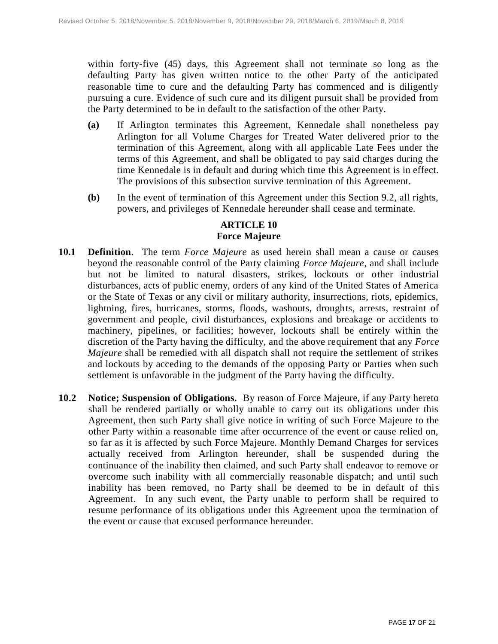within forty-five (45) days, this Agreement shall not terminate so long as the defaulting Party has given written notice to the other Party of the anticipated reasonable time to cure and the defaulting Party has commenced and is diligently pursuing a cure. Evidence of such cure and its diligent pursuit shall be provided from the Party determined to be in default to the satisfaction of the other Party.

- **(a)** If Arlington terminates this Agreement, Kennedale shall nonetheless pay Arlington for all Volume Charges for Treated Water delivered prior to the termination of this Agreement, along with all applicable Late Fees under the terms of this Agreement, and shall be obligated to pay said charges during the time Kennedale is in default and during which time this Agreement is in effect. The provisions of this subsection survive termination of this Agreement.
- **(b)** In the event of termination of this Agreement under this Section 9.2, all rights, powers, and privileges of Kennedale hereunder shall cease and terminate.

#### **ARTICLE 10 Force Majeure**

- **10.1 Definition**. The term *Force Majeure* as used herein shall mean a cause or causes beyond the reasonable control of the Party claiming *Force Majeure*, and shall include but not be limited to natural disasters, strikes, lockouts or other industrial disturbances, acts of public enemy, orders of any kind of the United States of America or the State of Texas or any civil or military authority, insurrections, riots, epidemics, lightning, fires, hurricanes, storms, floods, washouts, droughts, arrests, restraint of government and people, civil disturbances, explosions and breakage or accidents to machinery, pipelines, or facilities; however, lockouts shall be entirely within the discretion of the Party having the difficulty, and the above requirement that any *Force Majeure* shall be remedied with all dispatch shall not require the settlement of strikes and lockouts by acceding to the demands of the opposing Party or Parties when such settlement is unfavorable in the judgment of the Party having the difficulty.
- **10.2 Notice; Suspension of Obligations.** By reason of Force Majeure, if any Party hereto shall be rendered partially or wholly unable to carry out its obligations under this Agreement, then such Party shall give notice in writing of such Force Majeure to the other Party within a reasonable time after occurrence of the event or cause relied on, so far as it is affected by such Force Majeure. Monthly Demand Charges for services actually received from Arlington hereunder, shall be suspended during the continuance of the inability then claimed, and such Party shall endeavor to remove or overcome such inability with all commercially reasonable dispatch; and until such inability has been removed, no Party shall be deemed to be in default of this Agreement. In any such event, the Party unable to perform shall be required to resume performance of its obligations under this Agreement upon the termination of the event or cause that excused performance hereunder.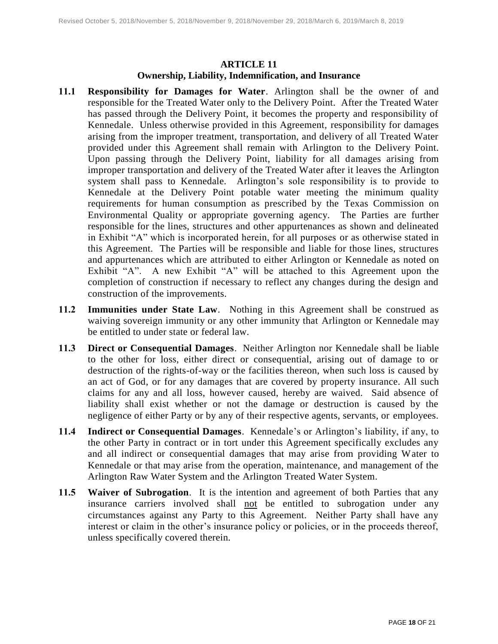# **ARTICLE 11 Ownership, Liability, Indemnification, and Insurance**

- **11.1 Responsibility for Damages for Water**. Arlington shall be the owner of and responsible for the Treated Water only to the Delivery Point. After the Treated Water has passed through the Delivery Point, it becomes the property and responsibility of Kennedale. Unless otherwise provided in this Agreement, responsibility for damages arising from the improper treatment, transportation, and delivery of all Treated Water provided under this Agreement shall remain with Arlington to the Delivery Point. Upon passing through the Delivery Point, liability for all damages arising from improper transportation and delivery of the Treated Water after it leaves the Arlington system shall pass to Kennedale. Arlington's sole responsibility is to provide to Kennedale at the Delivery Point potable water meeting the minimum quality requirements for human consumption as prescribed by the Texas Commission on Environmental Quality or appropriate governing agency. The Parties are further responsible for the lines, structures and other appurtenances as shown and delineated in Exhibit "A" which is incorporated herein, for all purposes or as otherwise stated in this Agreement. The Parties will be responsible and liable for those lines, structures and appurtenances which are attributed to either Arlington or Kennedale as noted on Exhibit "A". A new Exhibit "A" will be attached to this Agreement upon the completion of construction if necessary to reflect any changes during the design and construction of the improvements.
- **11.2 Immunities under State Law**. Nothing in this Agreement shall be construed as waiving sovereign immunity or any other immunity that Arlington or Kennedale may be entitled to under state or federal law.
- **11.3 Direct or Consequential Damages**. Neither Arlington nor Kennedale shall be liable to the other for loss, either direct or consequential, arising out of damage to or destruction of the rights-of-way or the facilities thereon, when such loss is caused by an act of God, or for any damages that are covered by property insurance. All such claims for any and all loss, however caused, hereby are waived. Said absence of liability shall exist whether or not the damage or destruction is caused by the negligence of either Party or by any of their respective agents, servants, or employees.
- **11.4 Indirect or Consequential Damages**. Kennedale's or Arlington's liability, if any, to the other Party in contract or in tort under this Agreement specifically excludes any and all indirect or consequential damages that may arise from providing Water to Kennedale or that may arise from the operation, maintenance, and management of the Arlington Raw Water System and the Arlington Treated Water System.
- **11.5 Waiver of Subrogation**. It is the intention and agreement of both Parties that any insurance carriers involved shall not be entitled to subrogation under any circumstances against any Party to this Agreement. Neither Party shall have any interest or claim in the other's insurance policy or policies, or in the proceeds thereof, unless specifically covered therein.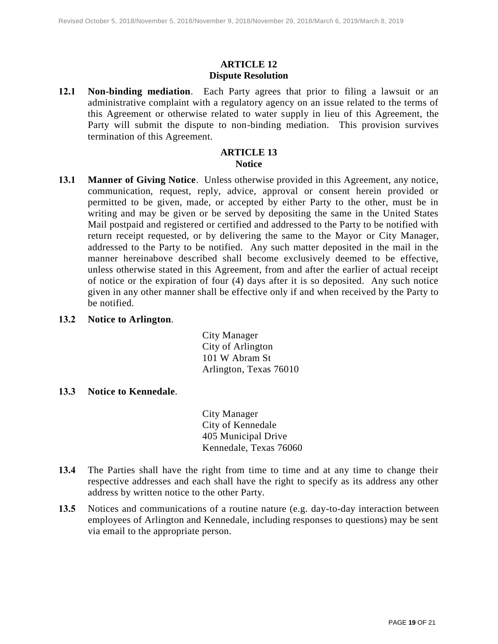#### **ARTICLE 12 Dispute Resolution**

**12.1 Non-binding mediation**. Each Party agrees that prior to filing a lawsuit or an administrative complaint with a regulatory agency on an issue related to the terms of this Agreement or otherwise related to water supply in lieu of this Agreement, the Party will submit the dispute to non-binding mediation. This provision survives termination of this Agreement.

# **ARTICLE 13 Notice**

- **13.1 Manner of Giving Notice**. Unless otherwise provided in this Agreement, any notice, communication, request, reply, advice, approval or consent herein provided or permitted to be given, made, or accepted by either Party to the other, must be in writing and may be given or be served by depositing the same in the United States Mail postpaid and registered or certified and addressed to the Party to be notified with return receipt requested, or by delivering the same to the Mayor or City Manager, addressed to the Party to be notified. Any such matter deposited in the mail in the manner hereinabove described shall become exclusively deemed to be effective, unless otherwise stated in this Agreement, from and after the earlier of actual receipt of notice or the expiration of four (4) days after it is so deposited. Any such notice given in any other manner shall be effective only if and when received by the Party to be notified.
- **13.2 Notice to Arlington**.

City Manager City of Arlington 101 W Abram St Arlington, Texas 76010

#### **13.3 Notice to Kennedale**.

City Manager City of Kennedale 405 Municipal Drive Kennedale, Texas 76060

- **13.4** The Parties shall have the right from time to time and at any time to change their respective addresses and each shall have the right to specify as its address any other address by written notice to the other Party.
- **13.5** Notices and communications of a routine nature (e.g. day-to-day interaction between employees of Arlington and Kennedale, including responses to questions) may be sent via email to the appropriate person.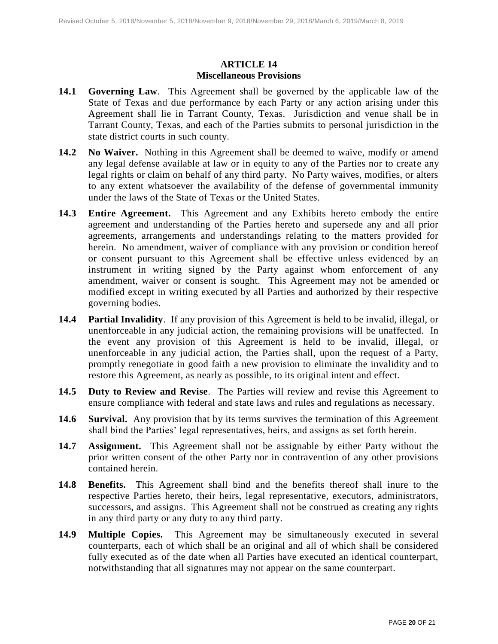## **ARTICLE 14 Miscellaneous Provisions**

- **14.1 Governing Law**. This Agreement shall be governed by the applicable law of the State of Texas and due performance by each Party or any action arising under this Agreement shall lie in Tarrant County, Texas. Jurisdiction and venue shall be in Tarrant County, Texas, and each of the Parties submits to personal jurisdiction in the state district courts in such county.
- **14.2 No Waiver.** Nothing in this Agreement shall be deemed to waive, modify or amend any legal defense available at law or in equity to any of the Parties nor to create any legal rights or claim on behalf of any third party. No Party waives, modifies, or alters to any extent whatsoever the availability of the defense of governmental immunity under the laws of the State of Texas or the United States.
- **14.3 Entire Agreement.** This Agreement and any Exhibits hereto embody the entire agreement and understanding of the Parties hereto and supersede any and all prior agreements, arrangements and understandings relating to the matters provided for herein. No amendment, waiver of compliance with any provision or condition hereof or consent pursuant to this Agreement shall be effective unless evidenced by an instrument in writing signed by the Party against whom enforcement of any amendment, waiver or consent is sought. This Agreement may not be amended or modified except in writing executed by all Parties and authorized by their respective governing bodies.
- **14.4 Partial Invalidity**. If any provision of this Agreement is held to be invalid, illegal, or unenforceable in any judicial action, the remaining provisions will be unaffected. In the event any provision of this Agreement is held to be invalid, illegal, or unenforceable in any judicial action, the Parties shall, upon the request of a Party, promptly renegotiate in good faith a new provision to eliminate the invalidity and to restore this Agreement, as nearly as possible, to its original intent and effect.
- **14.5 Duty to Review and Revise**. The Parties will review and revise this Agreement to ensure compliance with federal and state laws and rules and regulations as necessary.
- **14.6 Survival.** Any provision that by its terms survives the termination of this Agreement shall bind the Parties' legal representatives, heirs, and assigns as set forth herein.
- **14.7 Assignment.** This Agreement shall not be assignable by either Party without the prior written consent of the other Party nor in contravention of any other provisions contained herein.
- **14.8 Benefits.** This Agreement shall bind and the benefits thereof shall inure to the respective Parties hereto, their heirs, legal representative, executors, administrators, successors, and assigns. This Agreement shall not be construed as creating any rights in any third party or any duty to any third party.
- **14.9 Multiple Copies.** This Agreement may be simultaneously executed in several counterparts, each of which shall be an original and all of which shall be considered fully executed as of the date when all Parties have executed an identical counterpart, notwithstanding that all signatures may not appear on the same counterpart.